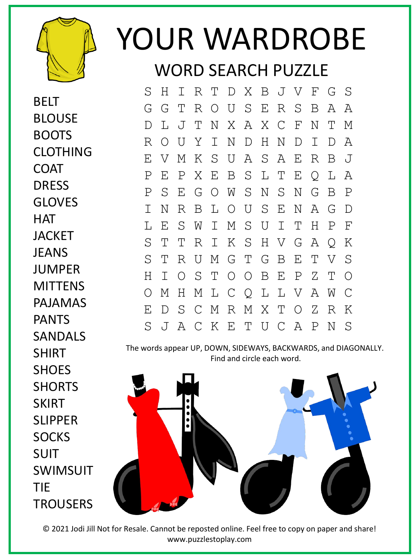

BELT

BLOUSE

BOOTS

COAT

DRESS

CLOTHING

## YOUR WARDROBE

WORD SEARCH PUZZLE

S H I R T D X B J V F G S G G T R O U S E R S B A A D L J T N X A X C F N T M R O U Y I N D H N D I D A E V M K S U A S A E R B J P E P X E B S L T E Q L A P S E G O W S N S N G B P I N R B L O U S E N A G D L E S W I M S U I T H P F S T T R I K S H V G A Q K S T R U M G T G B E T V S H I O S T O O B E P Z T O O M H M L C Q L L V A W C E D S C M R M X T O Z R K S J A C K E T U C A P N S

The words appear UP, DOWN, SIDEWAYS, BACKWARDS, and DIAGONALLY. Find and circle each word.



© 2021 Jodi Jill Not for Resale. Cannot be reposted online. Feel free to copy on paper and share! www.puzzlestoplay.com

GLOVES **HAT JACKET JFANS** JUMPER **MITTENS** PAJAMAS PANTS SANDALS SHIRT **SHOES SHORTS SKIRT** SLIPPER **SOCKS** SUIT SWIMSUIT TIE **TROUSERS**